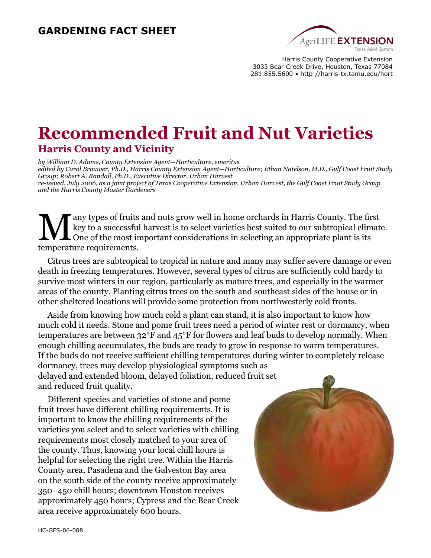#### **GARDENING FACT SHEET**



Harris County Cooperative Extension 3033 Bear Creek Drive, Houston, Texas 77084 281.855.5600 • http://harris-tx.tamu.edu/hort

# **Recommended Fruit and Nut Varieties Harris County and Vicinity**

*by William D. Adams, County Extension Agent—Horticulture, emeritus edited by Carol Brouwer, Ph.D., Harris County Extension Agent—Horticulture; Ethan Natelson, M.D., Gulf Coast Fruit Study Group; Robert A. Randall, Ph.D., Executive Director, Urban Harvest re-issued, July 2006, as a joint project of Texas Cooperative Extension, Urban Harvest, the Gulf Coast Fruit Study Group and the Harris County Master Gardeners* 

Many types of fruits and nuts grow well in home orchards in Harris County. The first<br>key to a successful harvest is to select varieties best suited to our subtropical climat<br>one of the most important considerations in sele key to a successful harvest is to select varieties best suited to our subtropical climate. temperature requirements.

Citrus trees are subtropical to tropical in nature and many may suffer severe damage or even death in freezing temperatures. However, several types of citrus are sufficiently cold hardy to survive most winters in our region, particularly as mature trees, and especially in the warmer areas of the county. Planting citrus trees on the south and southeast sides of the house or in other sheltered locations will provide some protection from northwesterly cold fronts.

Aside from knowing how much cold a plant can stand, it is also important to know how much cold it needs. Stone and pome fruit trees need a period of winter rest or dormancy, when temperatures are between 32°F and 45°F for flowers and leaf buds to develop normally. When enough chilling accumulates, the buds are ready to grow in response to warm temperatures. If the buds do not receive sufficient chilling temperatures during winter to completely release dormancy, trees may develop physiological symptoms such as delayed and extended bloom, delayed foliation, reduced fruit set and reduced fruit quality.

Different species and varieties of stone and pome fruit trees have different chilling requirements. It is important to know the chilling requirements of the varieties you select and to select varieties with chilling requirements most closely matched to your area of the county. Thus, knowing your local chill hours is helpful for selecting the right tree. Within the Harris County area, Pasadena and the Galveston Bay area on the south side of the county receive approximately 350–450 chill hours; downtown Houston receives approximately 450 hours; Cypress and the Bear Creek area receive approximately 600 hours.

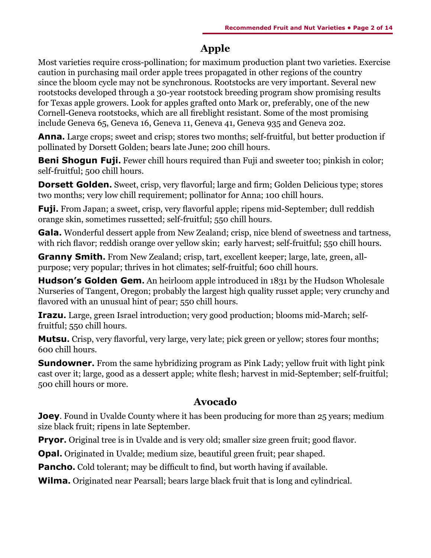## **Apple**

Most varieties require cross-pollination; for maximum production plant two varieties. Exercise caution in purchasing mail order apple trees propagated in other regions of the country since the bloom cycle may not be synchronous. Rootstocks are very important. Several new rootstocks developed through a 30-year rootstock breeding program show promising results for Texas apple growers. Look for apples grafted onto Mark or, preferably, one of the new Cornell-Geneva rootstocks, which are all fireblight resistant. Some of the most promising include Geneva 65, Geneva 16, Geneva 11, Geneva 41, Geneva 935 and Geneva 202.

**Anna.** Large crops; sweet and crisp; stores two months; self-fruitful, but better production if pollinated by Dorsett Golden; bears late June; 200 chill hours.

**Beni Shogun Fuji.** Fewer chill hours required than Fuji and sweeter too; pinkish in color; self-fruitful; 500 chill hours.

**Dorsett Golden.** Sweet, crisp, very flavorful; large and firm; Golden Delicious type; stores two months; very low chill requirement; pollinator for Anna; 100 chill hours.

**Fuji.** From Japan; a sweet, crisp, very flavorful apple; ripens mid-September; dull reddish orange skin, sometimes russetted; self-fruitful; 550 chill hours.

Gala. Wonderful dessert apple from New Zealand; crisp, nice blend of sweetness and tartness, with rich flavor; reddish orange over yellow skin; early harvest; self-fruitful; 550 chill hours.

**Granny Smith.** From New Zealand; crisp, tart, excellent keeper; large, late, green, allpurpose; very popular; thrives in hot climates; self-fruitful; 600 chill hours.

**Hudson's Golden Gem.** An heirloom apple introduced in 1831 by the Hudson Wholesale Nurseries of Tangent, Oregon; probably the largest high quality russet apple; very crunchy and flavored with an unusual hint of pear; 550 chill hours.

**Irazu.** Large, green Israel introduction; very good production; blooms mid-March; selffruitful; 550 chill hours.

**Mutsu.** Crisp, very flavorful, very large, very late; pick green or yellow; stores four months; 600 chill hours.

**Sundowner.** From the same hybridizing program as Pink Lady; yellow fruit with light pink cast over it; large, good as a dessert apple; white flesh; harvest in mid-September; self-fruitful; 500 chill hours or more.

#### **Avocado**

**Joey**. Found in Uvalde County where it has been producing for more than 25 years; medium size black fruit; ripens in late September.

**Pryor.** Original tree is in Uvalde and is very old; smaller size green fruit; good flavor.

**Opal.** Originated in Uvalde; medium size, beautiful green fruit; pear shaped.

**Pancho.** Cold tolerant; may be difficult to find, but worth having if available.

**Wilma.** Originated near Pearsall; bears large black fruit that is long and cylindrical.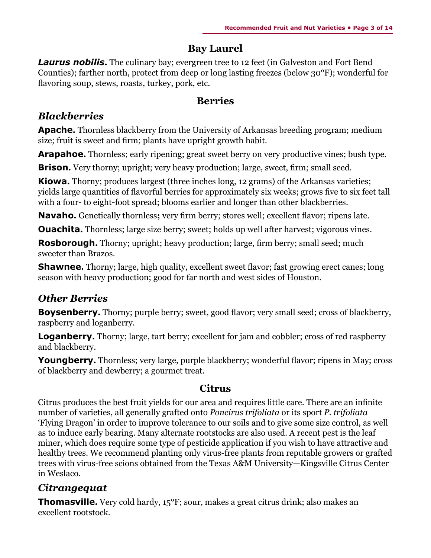## **Bay Laurel**

**Laurus nobilis.** The culinary bay; evergreen tree to 12 feet (in Galveston and Fort Bend Counties); farther north, protect from deep or long lasting freezes (below 30°F); wonderful for flavoring soup, stews, roasts, turkey, pork, etc.

#### **Berries**

## *Blackberries*

**Apache.** Thornless blackberry from the University of Arkansas breeding program; medium size; fruit is sweet and firm; plants have upright growth habit.

**Arapahoe.** Thornless; early ripening; great sweet berry on very productive vines; bush type.

**Brison.** Very thorny; upright; very heavy production; large, sweet, firm; small seed.

**Kiowa.** Thorny; produces largest (three inches long, 12 grams) of the Arkansas varieties; yields large quantities of flavorful berries for approximately six weeks; grows five to six feet tall with a four- to eight-foot spread; blooms earlier and longer than other blackberries.

**Navaho.** Genetically thornless**;** very firm berry; stores well; excellent flavor; ripens late.

**Ouachita.** Thornless; large size berry; sweet; holds up well after harvest; vigorous vines.

**Rosborough.** Thorny; upright; heavy production; large, firm berry; small seed; much sweeter than Brazos.

**Shawnee.** Thorny; large, high quality, excellent sweet flavor; fast growing erect canes; long season with heavy production; good for far north and west sides of Houston.

# *Other Berries*

**Boysenberry.** Thorny; purple berry; sweet, good flavor; very small seed; cross of blackberry, raspberry and loganberry.

**Loganberry.** Thorny; large, tart berry; excellent for jam and cobbler; cross of red raspberry and blackberry.

**Youngberry.** Thornless; very large, purple blackberry; wonderful flavor; ripens in May; cross of blackberry and dewberry; a gourmet treat.

### **Citrus**

Citrus produces the best fruit yields for our area and requires little care. There are an infinite number of varieties, all generally grafted onto *Poncirus trifoliata* or its sport *P. trifoliata* 'Flying Dragon' in order to improve tolerance to our soils and to give some size control, as well as to induce early bearing. Many alternate rootstocks are also used. A recent pest is the leaf miner, which does require some type of pesticide application if you wish to have attractive and healthy trees. We recommend planting only virus-free plants from reputable growers or grafted trees with virus-free scions obtained from the Texas A&M University—Kingsville Citrus Center in Weslaco.

# *Citrangequat*

**Thomasville.** Very cold hardy, 15<sup>°</sup>F; sour, makes a great citrus drink; also makes an excellent rootstock.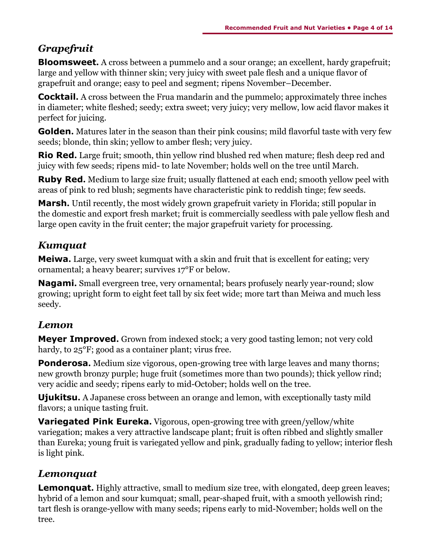# *Grapefruit*

**Bloomsweet.** A cross between a pummelo and a sour orange; an excellent, hardy grapefruit; large and yellow with thinner skin; very juicy with sweet pale flesh and a unique flavor of grapefruit and orange; easy to peel and segment; ripens November–December.

**Cocktail.** A cross between the Frua mandarin and the pummelo; approximately three inches in diameter; white fleshed; seedy; extra sweet; very juicy; very mellow, low acid flavor makes it perfect for juicing.

**Golden.** Matures later in the season than their pink cousins; mild flavorful taste with very few seeds; blonde, thin skin; yellow to amber flesh; very juicy.

**Rio Red.** Large fruit; smooth, thin yellow rind blushed red when mature; flesh deep red and juicy with few seeds; ripens mid- to late November; holds well on the tree until March.

**Ruby Red.** Medium to large size fruit; usually flattened at each end; smooth yellow peel with areas of pink to red blush; segments have characteristic pink to reddish tinge; few seeds.

**Marsh.** Until recently, the most widely grown grapefruit variety in Florida; still popular in the domestic and export fresh market; fruit is commercially seedless with pale yellow flesh and large open cavity in the fruit center; the major grapefruit variety for processing.

# *Kumquat*

**Meiwa.** Large, very sweet kumquat with a skin and fruit that is excellent for eating; very ornamental; a heavy bearer; survives 17°F or below.

**Nagami.** Small evergreen tree, very ornamental; bears profusely nearly year-round; slow growing; upright form to eight feet tall by six feet wide; more tart than Meiwa and much less seedy.

# *Lemon*

**Meyer Improved.** Grown from indexed stock; a very good tasting lemon; not very cold hardy, to  $25^{\circ}$ F; good as a container plant; virus free.

**Ponderosa.** Medium size vigorous, open-growing tree with large leaves and many thorns; new growth bronzy purple; huge fruit (sometimes more than two pounds); thick yellow rind; very acidic and seedy; ripens early to mid-October; holds well on the tree.

**Ujukitsu.** A Japanese cross between an orange and lemon, with exceptionally tasty mild flavors; a unique tasting fruit.

**Variegated Pink Eureka.** Vigorous, open-growing tree with green/yellow/white variegation; makes a very attractive landscape plant; fruit is often ribbed and slightly smaller than Eureka; young fruit is variegated yellow and pink, gradually fading to yellow; interior flesh is light pink.

# *Lemonquat*

**Lemonquat.** Highly attractive, small to medium size tree, with elongated, deep green leaves; hybrid of a lemon and sour kumquat; small, pear-shaped fruit, with a smooth yellowish rind; tart flesh is orange-yellow with many seeds; ripens early to mid-November; holds well on the tree.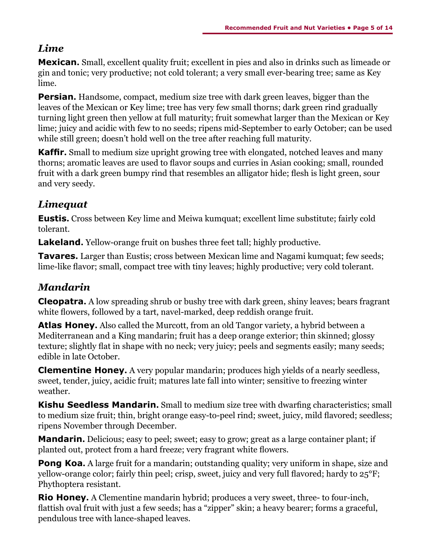#### *Lime*

**Mexican.** Small, excellent quality fruit; excellent in pies and also in drinks such as limeade or gin and tonic; very productive; not cold tolerant; a very small ever-bearing tree; same as Key lime.

**Persian.** Handsome, compact, medium size tree with dark green leaves, bigger than the leaves of the Mexican or Key lime; tree has very few small thorns; dark green rind gradually turning light green then yellow at full maturity; fruit somewhat larger than the Mexican or Key lime; juicy and acidic with few to no seeds; ripens mid-September to early October; can be used while still green; doesn't hold well on the tree after reaching full maturity.

**Kaffir.** Small to medium size upright growing tree with elongated, notched leaves and many thorns; aromatic leaves are used to flavor soups and curries in Asian cooking; small, rounded fruit with a dark green bumpy rind that resembles an alligator hide; flesh is light green, sour and very seedy.

## *Limequat*

**Eustis.** Cross between Key lime and Meiwa kumquat; excellent lime substitute; fairly cold tolerant.

**Lakeland.** Yellow-orange fruit on bushes three feet tall; highly productive.

**Tavares.** Larger than Eustis; cross between Mexican lime and Nagami kumquat; few seeds; lime-like flavor; small, compact tree with tiny leaves; highly productive; very cold tolerant.

### *Mandarin*

**Cleopatra.** A low spreading shrub or bushy tree with dark green, shiny leaves; bears fragrant white flowers, followed by a tart, navel-marked, deep reddish orange fruit.

**Atlas Honey.** Also called the Murcott, from an old Tangor variety, a hybrid between a Mediterranean and a King mandarin; fruit has a deep orange exterior; thin skinned; glossy texture; slightly flat in shape with no neck; very juicy; peels and segments easily; many seeds; edible in late October.

**Clementine Honey.** A very popular mandarin; produces high yields of a nearly seedless, sweet, tender, juicy, acidic fruit; matures late fall into winter; sensitive to freezing winter weather.

**Kishu Seedless Mandarin.** Small to medium size tree with dwarfing characteristics; small to medium size fruit; thin, bright orange easy-to-peel rind; sweet, juicy, mild flavored; seedless; ripens November through December.

**Mandarin.** Delicious; easy to peel; sweet; easy to grow; great as a large container plant; if planted out, protect from a hard freeze; very fragrant white flowers.

**Pong Koa.** A large fruit for a mandarin; outstanding quality; very uniform in shape, size and yellow-orange color; fairly thin peel; crisp, sweet, juicy and very full flavored; hardy to 25°F; Phythoptera resistant.

**Rio Honey.** A Clementine mandarin hybrid; produces a very sweet, three- to four-inch, flattish oval fruit with just a few seeds; has a "zipper" skin; a heavy bearer; forms a graceful, pendulous tree with lance-shaped leaves.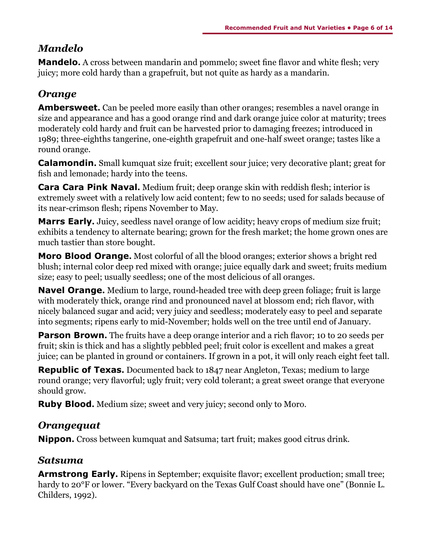## *Mandelo*

**Mandelo.** A cross between mandarin and pommelo; sweet fine flavor and white flesh; very juicy; more cold hardy than a grapefruit, but not quite as hardy as a mandarin.

## *Orange*

**Ambersweet.** Can be peeled more easily than other oranges; resembles a navel orange in size and appearance and has a good orange rind and dark orange juice color at maturity; trees moderately cold hardy and fruit can be harvested prior to damaging freezes; introduced in 1989; three-eighths tangerine, one-eighth grapefruit and one-half sweet orange; tastes like a round orange.

**Calamondin.** Small kumquat size fruit; excellent sour juice; very decorative plant; great for fish and lemonade; hardy into the teens.

**Cara Cara Pink Naval.** Medium fruit; deep orange skin with reddish flesh; interior is extremely sweet with a relatively low acid content; few to no seeds; used for salads because of its near-crimson flesh; ripens November to May.

**Marrs Early.** Juicy, seedless navel orange of low acidity; heavy crops of medium size fruit; exhibits a tendency to alternate bearing; grown for the fresh market; the home grown ones are much tastier than store bought.

**Moro Blood Orange.** Most colorful of all the blood oranges; exterior shows a bright red blush; internal color deep red mixed with orange; juice equally dark and sweet; fruits medium size; easy to peel; usually seedless; one of the most delicious of all oranges.

**Navel Orange.** Medium to large, round-headed tree with deep green foliage; fruit is large with moderately thick, orange rind and pronounced navel at blossom end; rich flavor, with nicely balanced sugar and acid; very juicy and seedless; moderately easy to peel and separate into segments; ripens early to mid-November; holds well on the tree until end of January.

**Parson Brown.** The fruits have a deep orange interior and a rich flavor; 10 to 20 seeds per fruit; skin is thick and has a slightly pebbled peel; fruit color is excellent and makes a great juice; can be planted in ground or containers. If grown in a pot, it will only reach eight feet tall.

**Republic of Texas.** Documented back to 1847 near Angleton, Texas; medium to large round orange; very flavorful; ugly fruit; very cold tolerant; a great sweet orange that everyone should grow.

**Ruby Blood.** Medium size; sweet and very juicy; second only to Moro.

### *Orangequat*

**Nippon.** Cross between kumquat and Satsuma; tart fruit; makes good citrus drink.

### *Satsuma*

**Armstrong Early.** Ripens in September; exquisite flavor; excellent production; small tree; hardy to 20°F or lower. "Every backyard on the Texas Gulf Coast should have one" (Bonnie L. Childers, 1992).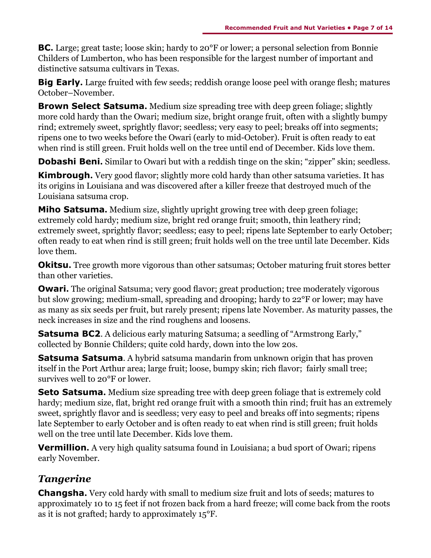**BC.** Large; great taste; loose skin; hardy to 20<sup>o</sup>F or lower; a personal selection from Bonnie Childers of Lumberton, who has been responsible for the largest number of important and distinctive satsuma cultivars in Texas.

**Big Early.** Large fruited with few seeds; reddish orange loose peel with orange flesh; matures October–November.

**Brown Select Satsuma.** Medium size spreading tree with deep green foliage; slightly more cold hardy than the Owari; medium size, bright orange fruit, often with a slightly bumpy rind; extremely sweet, sprightly flavor; seedless; very easy to peel; breaks off into segments; ripens one to two weeks before the Owari (early to mid-October). Fruit is often ready to eat when rind is still green. Fruit holds well on the tree until end of December. Kids love them.

**Dobashi Beni.** Similar to Owari but with a reddish tinge on the skin; "zipper" skin; seedless.

**Kimbrough.** Very good flavor; slightly more cold hardy than other satsuma varieties. It has its origins in Louisiana and was discovered after a killer freeze that destroyed much of the Louisiana satsuma crop.

**Miho Satsuma.** Medium size, slightly upright growing tree with deep green foliage; extremely cold hardy; medium size, bright red orange fruit; smooth, thin leathery rind; extremely sweet, sprightly flavor; seedless; easy to peel; ripens late September to early October; often ready to eat when rind is still green; fruit holds well on the tree until late December. Kids love them.

**Okitsu.** Tree growth more vigorous than other satsumas; October maturing fruit stores better than other varieties.

**Owari.** The original Satsuma; very good flavor; great production; tree moderately vigorous but slow growing; medium-small, spreading and drooping; hardy to 22°F or lower; may have as many as six seeds per fruit, but rarely present; ripens late November. As maturity passes, the neck increases in size and the rind roughens and loosens.

**Satsuma BC2.** A delicious early maturing Satsuma; a seedling of "Armstrong Early," collected by Bonnie Childers; quite cold hardy, down into the low 20s.

**Satsuma Satsuma**. A hybrid satsuma mandarin from unknown origin that has proven itself in the Port Arthur area; large fruit; loose, bumpy skin; rich flavor; fairly small tree; survives well to 20°F or lower.

**Seto Satsuma.** Medium size spreading tree with deep green foliage that is extremely cold hardy; medium size, flat, bright red orange fruit with a smooth thin rind; fruit has an extremely sweet, sprightly flavor and is seedless; very easy to peel and breaks off into segments; ripens late September to early October and is often ready to eat when rind is still green; fruit holds well on the tree until late December. Kids love them.

**Vermillion.** A very high quality satsuma found in Louisiana; a bud sport of Owari; ripens early November.

# *Tangerine*

**Changsha.** Very cold hardy with small to medium size fruit and lots of seeds; matures to approximately 10 to 15 feet if not frozen back from a hard freeze; will come back from the roots as it is not grafted; hardy to approximately 15°F.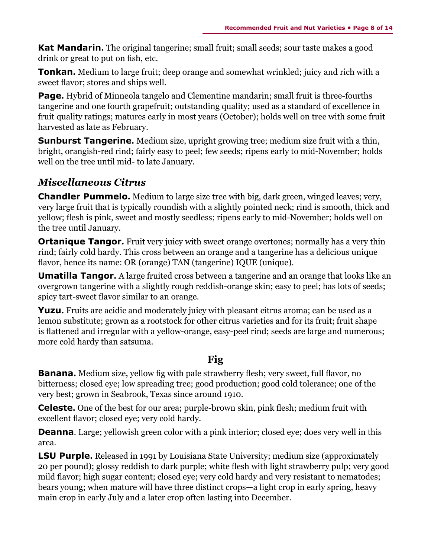**Kat Mandarin.** The original tangerine; small fruit; small seeds; sour taste makes a good drink or great to put on fish, etc.

**Tonkan.** Medium to large fruit; deep orange and somewhat wrinkled; juicy and rich with a sweet flavor; stores and ships well.

**Page.** Hybrid of Minneola tangelo and Clementine mandarin; small fruit is three-fourths tangerine and one fourth grapefruit; outstanding quality; used as a standard of excellence in fruit quality ratings; matures early in most years (October); holds well on tree with some fruit harvested as late as February.

**Sunburst Tangerine.** Medium size, upright growing tree; medium size fruit with a thin, bright, orangish-red rind; fairly easy to peel; few seeds; ripens early to mid-November; holds well on the tree until mid- to late January.

## *Miscellaneous Citrus*

**Chandler Pummelo.** Medium to large size tree with big, dark green, winged leaves; very, very large fruit that is typically roundish with a slightly pointed neck; rind is smooth, thick and yellow; flesh is pink, sweet and mostly seedless; ripens early to mid-November; holds well on the tree until January.

**Ortanique Tangor.** Fruit very juicy with sweet orange overtones; normally has a very thin rind; fairly cold hardy. This cross between an orange and a tangerine has a delicious unique flavor, hence its name: OR (orange) TAN (tangerine) IQUE (unique).

**Umatilla Tangor.** A large fruited cross between a tangerine and an orange that looks like an overgrown tangerine with a slightly rough reddish-orange skin; easy to peel; has lots of seeds; spicy tart-sweet flavor similar to an orange.

**Yuzu.** Fruits are acidic and moderately juicy with pleasant citrus aroma; can be used as a lemon substitute; grown as a rootstock for other citrus varieties and for its fruit; fruit shape is flattened and irregular with a yellow-orange, easy-peel rind; seeds are large and numerous; more cold hardy than satsuma.

### **Fig**

**Banana.** Medium size, yellow fig with pale strawberry flesh; very sweet, full flavor, no bitterness; closed eye; low spreading tree; good production; good cold tolerance; one of the very best; grown in Seabrook, Texas since around 1910.

**Celeste.** One of the best for our area; purple-brown skin, pink flesh; medium fruit with excellent flavor; closed eye; very cold hardy.

**Deanna**. Large; yellowish green color with a pink interior; closed eye; does very well in this area.

**LSU Purple.** Released in 1991 by Louisiana State University; medium size (approximately 20 per pound); glossy reddish to dark purple; white flesh with light strawberry pulp; very good mild flavor; high sugar content; closed eye; very cold hardy and very resistant to nematodes; bears young; when mature will have three distinct crops—a light crop in early spring, heavy main crop in early July and a later crop often lasting into December.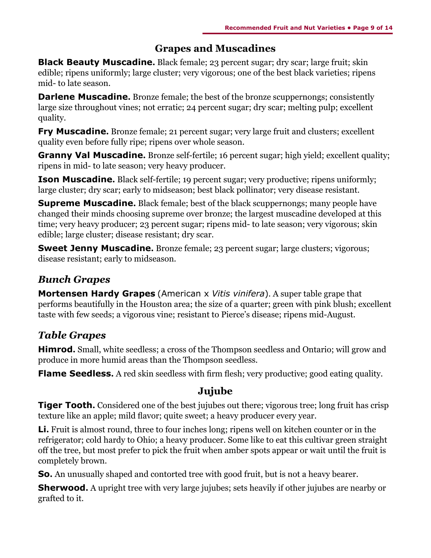## **Grapes and Muscadines**

**Black Beauty Muscadine.** Black female; 23 percent sugar; dry scar; large fruit; skin edible; ripens uniformly; large cluster; very vigorous; one of the best black varieties; ripens mid- to late season.

**Darlene Muscadine.** Bronze female; the best of the bronze scuppernongs; consistently large size throughout vines; not erratic; 24 percent sugar; dry scar; melting pulp; excellent quality.

**Fry Muscadine.** Bronze female; 21 percent sugar; very large fruit and clusters; excellent quality even before fully ripe; ripens over whole season.

**Granny Val Muscadine.** Bronze self-fertile; 16 percent sugar; high yield; excellent quality; ripens in mid- to late season; very heavy producer.

**Ison Muscadine.** Black self-fertile; 19 percent sugar; very productive; ripens uniformly; large cluster; dry scar; early to midseason; best black pollinator; very disease resistant.

**Supreme Muscadine.** Black female; best of the black scuppernongs; many people have changed their minds choosing supreme over bronze; the largest muscadine developed at this time; very heavy producer; 23 percent sugar; ripens mid- to late season; very vigorous; skin edible; large cluster; disease resistant; dry scar.

**Sweet Jenny Muscadine.** Bronze female; 23 percent sugar; large clusters; vigorous; disease resistant; early to midseason.

# *Bunch Grapes*

**Mortensen Hardy Grapes** (American x *Vitis vinifera*). A super table grape that performs beautifully in the Houston area; the size of a quarter; green with pink blush; excellent taste with few seeds; a vigorous vine; resistant to Pierce's disease; ripens mid-August.

# *Table Grapes*

**Himrod.** Small, white seedless; a cross of the Thompson seedless and Ontario; will grow and produce in more humid areas than the Thompson seedless.

**Flame Seedless.** A red skin seedless with firm flesh; very productive; good eating quality.

### **Jujube**

**Tiger Tooth.** Considered one of the best jujubes out there; vigorous tree; long fruit has crisp texture like an apple; mild flavor; quite sweet; a heavy producer every year.

**Li.** Fruit is almost round, three to four inches long; ripens well on kitchen counter or in the refrigerator; cold hardy to Ohio; a heavy producer. Some like to eat this cultivar green straight off the tree, but most prefer to pick the fruit when amber spots appear or wait until the fruit is completely brown.

**So.** An unusually shaped and contorted tree with good fruit, but is not a heavy bearer.

**Sherwood.** A upright tree with very large jujubes; sets heavily if other jujubes are nearby or grafted to it.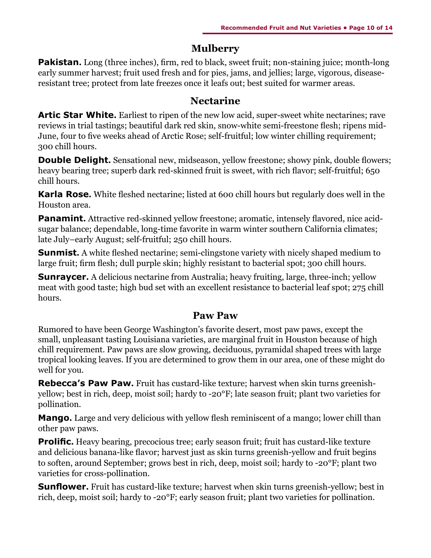#### **Mulberry**

**Pakistan.** Long (three inches), firm, red to black, sweet fruit; non-staining juice; month-long early summer harvest; fruit used fresh and for pies, jams, and jellies; large, vigorous, diseaseresistant tree; protect from late freezes once it leafs out; best suited for warmer areas.

#### **Nectarine**

**Artic Star White.** Earliest to ripen of the new low acid, super-sweet white nectarines; rave reviews in trial tastings; beautiful dark red skin, snow-white semi-freestone flesh; ripens mid-June, four to five weeks ahead of Arctic Rose; self-fruitful; low winter chilling requirement; 300 chill hours.

**Double Delight.** Sensational new, midseason, yellow freestone; showy pink, double flowers; heavy bearing tree; superb dark red-skinned fruit is sweet, with rich flavor; self-fruitful; 650 chill hours.

**Karla Rose.** White fleshed nectarine; listed at 600 chill hours but regularly does well in the Houston area.

**Panamint.** Attractive red-skinned yellow freestone; aromatic, intensely flavored, nice acidsugar balance; dependable, long-time favorite in warm winter southern California climates; late July–early August; self-fruitful; 250 chill hours.

**Sunmist.** A white fleshed nectarine; semi-clingstone variety with nicely shaped medium to large fruit; firm flesh; dull purple skin; highly resistant to bacterial spot; 300 chill hours.

**Sunraycer.** A delicious nectarine from Australia; heavy fruiting, large, three-inch; yellow meat with good taste; high bud set with an excellent resistance to bacterial leaf spot; 275 chill hours.

#### **Paw Paw**

Rumored to have been George Washington's favorite desert, most paw paws, except the small, unpleasant tasting Louisiana varieties, are marginal fruit in Houston because of high chill requirement. Paw paws are slow growing, deciduous, pyramidal shaped trees with large tropical looking leaves. If you are determined to grow them in our area, one of these might do well for you.

**Rebecca's Paw Paw.** Fruit has custard-like texture; harvest when skin turns greenishyellow; best in rich, deep, moist soil; hardy to -20°F; late season fruit; plant two varieties for pollination.

**Mango.** Large and very delicious with yellow flesh reminiscent of a mango; lower chill than other paw paws.

**Prolific.** Heavy bearing, precocious tree; early season fruit; fruit has custard-like texture and delicious banana-like flavor; harvest just as skin turns greenish-yellow and fruit begins to soften, around September; grows best in rich, deep, moist soil; hardy to -20°F; plant two varieties for cross-pollination.

**Sunflower.** Fruit has custard-like texture; harvest when skin turns greenish-yellow; best in rich, deep, moist soil; hardy to -20°F; early season fruit; plant two varieties for pollination.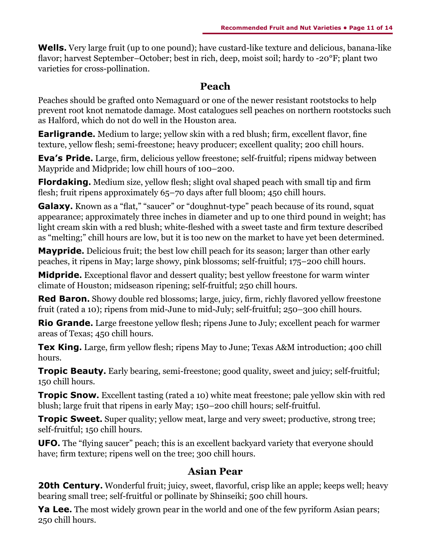**Wells.** Very large fruit (up to one pound); have custard-like texture and delicious, banana-like flavor; harvest September–October; best in rich, deep, moist soil; hardy to -20°F; plant two varieties for cross-pollination.

### **Peach**

Peaches should be grafted onto Nemaguard or one of the newer resistant rootstocks to help prevent root knot nematode damage. Most catalogues sell peaches on northern rootstocks such as Halford, which do not do well in the Houston area.

**Earligrande.** Medium to large; yellow skin with a red blush; firm, excellent flavor, fine texture, yellow flesh; semi-freestone; heavy producer; excellent quality; 200 chill hours.

**Eva's Pride.** Large, firm, delicious yellow freestone; self-fruitful; ripens midway between Maypride and Midpride; low chill hours of 100–200.

**Flordaking.** Medium size, yellow flesh; slight oval shaped peach with small tip and firm flesh; fruit ripens approximately 65-70 days after full bloom; 450 chill hours.

**Galaxy.** Known as a "flat," "saucer" or "doughnut-type" peach because of its round, squat appearance; approximately three inches in diameter and up to one third pound in weight; has light cream skin with a red blush; white-fleshed with a sweet taste and firm texture described as "melting;" chill hours are low, but it is too new on the market to have yet been determined.

**Maypride.** Delicious fruit; the best low chill peach for its season; larger than other early peaches, it ripens in May; large showy, pink blossoms; self-fruitful; 175–200 chill hours.

**Midpride.** Exceptional flavor and dessert quality; best yellow freestone for warm winter climate of Houston; midseason ripening; self-fruitful; 250 chill hours.

**Red Baron.** Showy double red blossoms; large, juicy, firm, richly flavored yellow freestone fruit (rated a 10); ripens from mid-June to mid-July; self-fruitful; 250–300 chill hours.

**Rio Grande.** Large freestone yellow flesh; ripens June to July; excellent peach for warmer areas of Texas; 450 chill hours.

**Tex King.** Large, firm yellow flesh; ripens May to June; Texas A&M introduction; 400 chill hours.

**Tropic Beauty.** Early bearing, semi-freestone; good quality, sweet and juicy; self-fruitful; 150 chill hours.

**Tropic Snow.** Excellent tasting (rated a 10) white meat freestone; pale yellow skin with red blush; large fruit that ripens in early May; 150–200 chill hours; self-fruitful.

**Tropic Sweet.** Super quality; yellow meat, large and very sweet; productive, strong tree; self-fruitful; 150 chill hours.

**UFO.** The "flying saucer" peach; this is an excellent backyard variety that everyone should have; firm texture; ripens well on the tree; 300 chill hours.

#### **Asian Pear**

**20th Century.** Wonderful fruit; juicy, sweet, flavorful, crisp like an apple; keeps well; heavy bearing small tree; self-fruitful or pollinate by Shinseiki; 500 chill hours.

**Ya Lee.** The most widely grown pear in the world and one of the few pyriform Asian pears; 250 chill hours.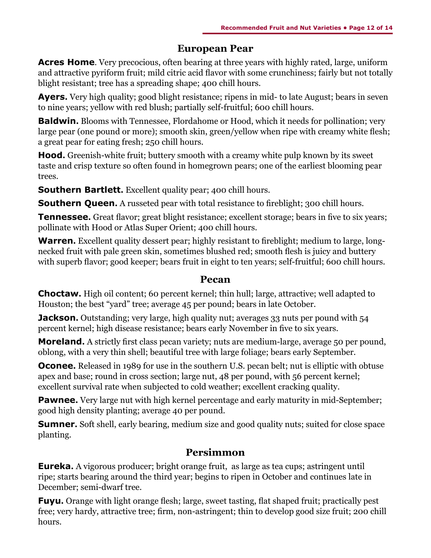#### **European Pear**

**Acres Home**. Very precocious, often bearing at three years with highly rated, large, uniform and attractive pyriform fruit; mild citric acid flavor with some crunchiness; fairly but not totally blight resistant; tree has a spreading shape; 400 chill hours.

**Ayers.** Very high quality; good blight resistance; ripens in mid- to late August; bears in seven to nine years; yellow with red blush; partially self-fruitful; 600 chill hours.

**Baldwin.** Blooms with Tennessee, Flordahome or Hood, which it needs for pollination; very large pear (one pound or more); smooth skin, green/yellow when ripe with creamy white flesh; a great pear for eating fresh; 250 chill hours.

**Hood.** Greenish-white fruit; buttery smooth with a creamy white pulp known by its sweet taste and crisp texture so often found in homegrown pears; one of the earliest blooming pear trees.

**Southern Bartlett.** Excellent quality pear; 400 chill hours.

**Southern Queen.** A russeted pear with total resistance to fireblight; 300 chill hours.

**Tennessee.** Great flavor; great blight resistance; excellent storage; bears in five to six years; pollinate with Hood or Atlas Super Orient; 400 chill hours.

**Warren.** Excellent quality dessert pear; highly resistant to fireblight; medium to large, longnecked fruit with pale green skin, sometimes blushed red; smooth flesh is juicy and buttery with superb flavor; good keeper; bears fruit in eight to ten years; self-fruitful; 600 chill hours.

#### **Pecan**

**Choctaw.** High oil content; 60 percent kernel; thin hull; large, attractive; well adapted to Houston; the best "yard" tree; average 45 per pound; bears in late October.

**Jackson.** Outstanding; very large, high quality nut; averages 33 nuts per pound with 54 percent kernel; high disease resistance; bears early November in five to six years.

**Moreland.** A strictly first class pecan variety; nuts are medium-large, average 50 per pound, oblong, with a very thin shell; beautiful tree with large foliage; bears early September.

**Oconee.** Released in 1989 for use in the southern U.S. pecan belt; nut is elliptic with obtuse apex and base; round in cross section; large nut, 48 per pound, with 56 percent kernel; excellent survival rate when subjected to cold weather; excellent cracking quality.

**Pawnee.** Very large nut with high kernel percentage and early maturity in mid-September; good high density planting; average 40 per pound.

**Sumner.** Soft shell, early bearing, medium size and good quality nuts; suited for close space planting.

### **Persimmon**

**Eureka.** A vigorous producer; bright orange fruit, as large as tea cups; astringent until ripe; starts bearing around the third year; begins to ripen in October and continues late in December; semi-dwarf tree.

**Fuyu.** Orange with light orange flesh; large, sweet tasting, flat shaped fruit; practically pest free; very hardy, attractive tree; firm, non-astringent; thin to develop good size fruit; 200 chill hours.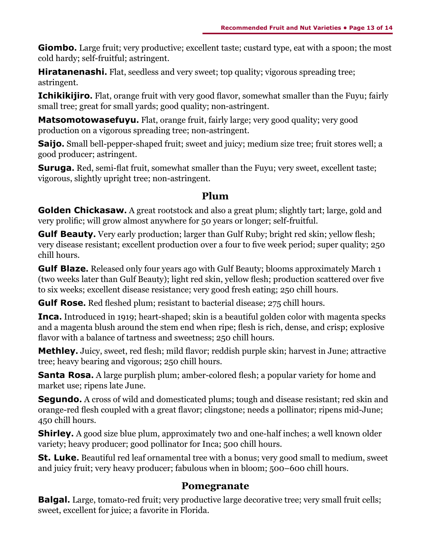**Giombo.** Large fruit; very productive; excellent taste; custard type, eat with a spoon; the most cold hardy; self-fruitful; astringent.

**Hiratanenashi.** Flat, seedless and very sweet; top quality; vigorous spreading tree; astringent.

**Ichikikijiro.** Flat, orange fruit with very good flavor, somewhat smaller than the Fuyu; fairly small tree; great for small yards; good quality; non-astringent.

**Matsomotowasefuyu.** Flat, orange fruit, fairly large; very good quality; very good production on a vigorous spreading tree; non-astringent.

**Saijo.** Small bell-pepper-shaped fruit; sweet and juicy; medium size tree; fruit stores well; a good producer; astringent.

**Suruga.** Red, semi-flat fruit, somewhat smaller than the Fuyu; very sweet, excellent taste; vigorous, slightly upright tree; non-astringent.

#### **Plum**

**Golden Chickasaw.** A great rootstock and also a great plum; slightly tart; large, gold and very prolific; will grow almost anywhere for 50 years or longer; self-fruitful.

**Gulf Beauty.** Very early production; larger than Gulf Ruby; bright red skin; yellow flesh; very disease resistant; excellent production over a four to five week period; super quality; 250 chill hours.

**Gulf Blaze.** Released only four years ago with Gulf Beauty; blooms approximately March 1 (two weeks later than Gulf Beauty); light red skin, yellow flesh; production scattered over five to six weeks; excellent disease resistance; very good fresh eating; 250 chill hours.

**Gulf Rose.** Red fleshed plum; resistant to bacterial disease; 275 chill hours.

**Inca.** Introduced in 1919; heart-shaped; skin is a beautiful golden color with magenta specks and a magenta blush around the stem end when ripe; flesh is rich, dense, and crisp; explosive flavor with a balance of tartness and sweetness; 250 chill hours.

**Methley.** Juicy, sweet, red flesh; mild flavor; reddish purple skin; harvest in June; attractive tree; heavy bearing and vigorous; 250 chill hours.

**Santa Rosa.** A large purplish plum; amber-colored flesh; a popular variety for home and market use; ripens late June.

**Segundo.** A cross of wild and domesticated plums; tough and disease resistant; red skin and orange-red flesh coupled with a great flavor; clingstone; needs a pollinator; ripens mid-June; 450 chill hours.

**Shirley.** A good size blue plum, approximately two and one-half inches; a well known older variety; heavy producer; good pollinator for Inca; 500 chill hours.

**St. Luke.** Beautiful red leaf ornamental tree with a bonus; very good small to medium, sweet and juicy fruit; very heavy producer; fabulous when in bloom; 500–600 chill hours.

#### **Pomegranate**

**Balgal.** Large, tomato-red fruit; very productive large decorative tree; very small fruit cells; sweet, excellent for juice; a favorite in Florida.